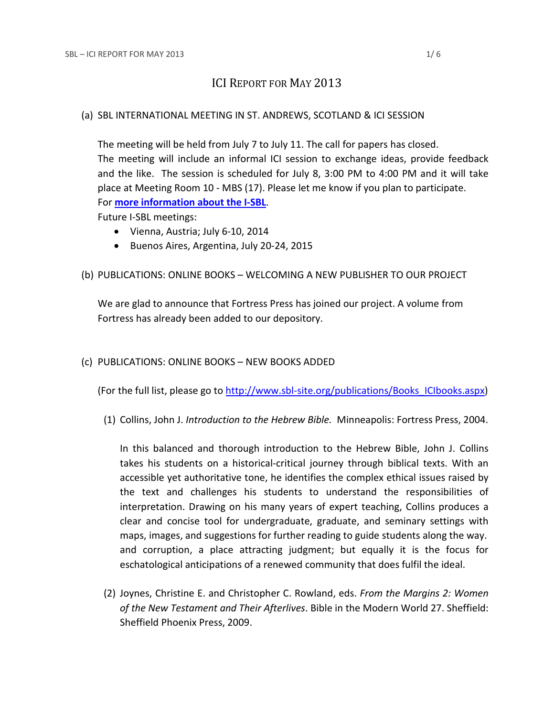# ICI REPORT FOR MAY 2013

### (a) SBL INTERNATIONAL MEETING IN ST. ANDREWS, SCOTLAND & ICI SESSION

The meeting will be held from July 7 to July 11. The call for papers has closed. The meeting will include an informal ICI session to exchange ideas, provide feedback and the like. The session is scheduled for July 8, 3:00 PM to 4:00 PM and it will take place at Meeting Room 10 - MBS (17). Please let me know if you plan to participate. For **[more information about the I-SBL](http://www.sbl-site.org/meetings/Internationalmeeting.aspx)**.

Future I-SBL meetings:

- Vienna, Austria; July 6-10, 2014
- Buenos Aires, Argentina, July 20-24, 2015
- (b) PUBLICATIONS: ONLINE BOOKS WELCOMING A NEW PUBLISHER TO OUR PROJECT

We are glad to announce that Fortress Press has joined our project. A volume from Fortress has already been added to our depository.

(c) PUBLICATIONS: ONLINE BOOKS – NEW BOOKS ADDED

(For the full list, please go to [http://www.sbl-site.org/publications/Books\\_ICIbooks.aspx\)](http://www.sbl-site.org/publications/Books_ICIbooks.aspx)

(1) Collins, John J. *Introduction to the Hebrew Bible.* Minneapolis: Fortress Press, 2004.

In this balanced and thorough introduction to the Hebrew Bible, John J. Collins takes his students on a historical-critical journey through biblical texts. With an accessible yet authoritative tone, he identifies the complex ethical issues raised by the text and challenges his students to understand the responsibilities of interpretation. Drawing on his many years of expert teaching, Collins produces a clear and concise tool for undergraduate, graduate, and seminary settings with maps, images, and suggestions for further reading to guide students along the way. and corruption, a place attracting judgment; but equally it is the focus for eschatological anticipations of a renewed community that does fulfil the ideal.

(2) Joynes, Christine E. and Christopher C. Rowland, eds. *From the Margins 2: Women of the New Testament and Their Afterlives*. Bible in the Modern World 27. Sheffield: Sheffield Phoenix Press, 2009.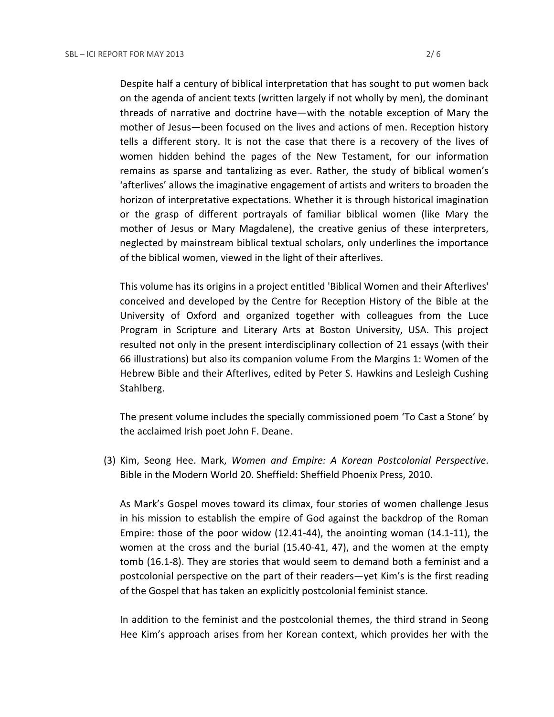Despite half a century of biblical interpretation that has sought to put women back on the agenda of ancient texts (written largely if not wholly by men), the dominant threads of narrative and doctrine have—with the notable exception of Mary the mother of Jesus—been focused on the lives and actions of men. Reception history tells a different story. It is not the case that there is a recovery of the lives of women hidden behind the pages of the New Testament, for our information remains as sparse and tantalizing as ever. Rather, the study of biblical women's 'afterlives' allows the imaginative engagement of artists and writers to broaden the horizon of interpretative expectations. Whether it is through historical imagination or the grasp of different portrayals of familiar biblical women (like Mary the mother of Jesus or Mary Magdalene), the creative genius of these interpreters, neglected by mainstream biblical textual scholars, only underlines the importance of the biblical women, viewed in the light of their afterlives.

This volume has its origins in a project entitled 'Biblical Women and their Afterlives' conceived and developed by the Centre for Reception History of the Bible at the University of Oxford and organized together with colleagues from the Luce Program in Scripture and Literary Arts at Boston University, USA. This project resulted not only in the present interdisciplinary collection of 21 essays (with their 66 illustrations) but also its companion volume From the Margins 1: Women of the Hebrew Bible and their Afterlives, edited by Peter S. Hawkins and Lesleigh Cushing Stahlberg.

The present volume includes the specially commissioned poem 'To Cast a Stone' by the acclaimed Irish poet John F. Deane.

(3) Kim, Seong Hee. Mark, *Women and Empire: A Korean Postcolonial Perspective*. Bible in the Modern World 20. Sheffield: Sheffield Phoenix Press, 2010.

As Mark's Gospel moves toward its climax, four stories of women challenge Jesus in his mission to establish the empire of God against the backdrop of the Roman Empire: those of the poor widow (12.41-44), the anointing woman (14.1-11), the women at the cross and the burial (15.40-41, 47), and the women at the empty tomb (16.1-8). They are stories that would seem to demand both a feminist and a postcolonial perspective on the part of their readers—yet Kim's is the first reading of the Gospel that has taken an explicitly postcolonial feminist stance.

In addition to the feminist and the postcolonial themes, the third strand in Seong Hee Kim's approach arises from her Korean context, which provides her with the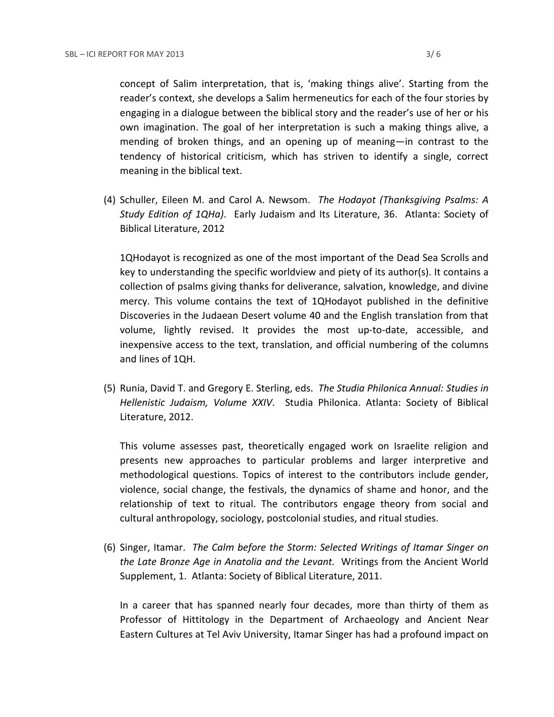concept of Salim interpretation, that is, 'making things alive'. Starting from the reader's context, she develops a Salim hermeneutics for each of the four stories by engaging in a dialogue between the biblical story and the reader's use of her or his own imagination. The goal of her interpretation is such a making things alive, a mending of broken things, and an opening up of meaning—in contrast to the tendency of historical criticism, which has striven to identify a single, correct meaning in the biblical text.

(4) Schuller, Eileen M. and Carol A. Newsom. *The Hodayot (Thanksgiving Psalms: A Study Edition of 1QHa)*. Early Judaism and Its Literature, 36. Atlanta: Society of Biblical Literature, 2012

1QHodayot is recognized as one of the most important of the Dead Sea Scrolls and key to understanding the specific worldview and piety of its author(s). It contains a collection of psalms giving thanks for deliverance, salvation, knowledge, and divine mercy. This volume contains the text of 1QHodayot published in the definitive Discoveries in the Judaean Desert volume 40 and the English translation from that volume, lightly revised. It provides the most up-to-date, accessible, and inexpensive access to the text, translation, and official numbering of the columns and lines of 1QH.

(5) Runia, David T. and Gregory E. Sterling, eds. *The Studia Philonica Annual: Studies in Hellenistic Judaism, Volume XXIV*. Studia Philonica. Atlanta: Society of Biblical Literature, 2012.

This volume assesses past, theoretically engaged work on Israelite religion and presents new approaches to particular problems and larger interpretive and methodological questions. Topics of interest to the contributors include gender, violence, social change, the festivals, the dynamics of shame and honor, and the relationship of text to ritual. The contributors engage theory from social and cultural anthropology, sociology, postcolonial studies, and ritual studies.

(6) Singer, Itamar. *The Calm before the Storm: Selected Writings of Itamar Singer on the Late Bronze Age in Anatolia and the Levant.* Writings from the Ancient World Supplement, 1. Atlanta: Society of Biblical Literature, 2011.

In a career that has spanned nearly four decades, more than thirty of them as Professor of Hittitology in the Department of Archaeology and Ancient Near Eastern Cultures at Tel Aviv University, Itamar Singer has had a profound impact on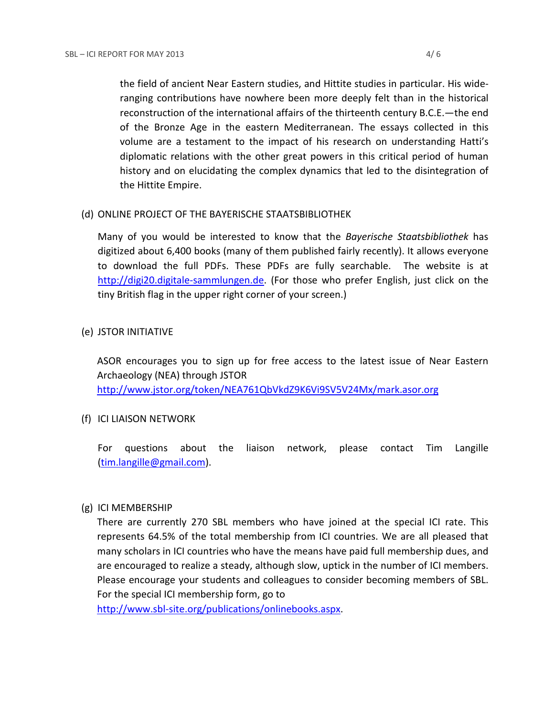the field of ancient Near Eastern studies, and Hittite studies in particular. His wideranging contributions have nowhere been more deeply felt than in the historical reconstruction of the international affairs of the thirteenth century B.C.E.—the end of the Bronze Age in the eastern Mediterranean. The essays collected in this volume are a testament to the impact of his research on understanding Hatti's diplomatic relations with the other great powers in this critical period of human history and on elucidating the complex dynamics that led to the disintegration of the Hittite Empire.

## (d) ONLINE PROJECT OF THE BAYERISCHE STAATSBIBLIOTHEK

Many of you would be interested to know that the *Bayerische Staatsbibliothek* has digitized about 6,400 books (many of them published fairly recently). It allows everyone to download the full PDFs. These PDFs are fully searchable. The website is at [http://digi20.digitale-sammlungen.de.](http://digi20.digitale-sammlungen.de/) (For those who prefer English, just click on the tiny British flag in the upper right corner of your screen.)

### (e) JSTOR INITIATIVE

ASOR encourages you to sign up for free access to the latest issue of Near Eastern Archaeology (NEA) through JSTOR <http://www.jstor.org/token/NEA761QbVkdZ9K6Vi9SV5V24Mx/mark.asor.org>

## (f) ICI LIAISON NETWORK

For questions about the liaison network, please contact Tim Langille [\(tim.langille@gmail.com\)](mailto:tim.langille@gmail.com).

## (g) ICI MEMBERSHIP

There are currently 270 SBL members who have joined at the special ICI rate. This represents 64.5% of the total membership from ICI countries. We are all pleased that many scholars in ICI countries who have the means have paid full membership dues, and are encouraged to realize a steady, although slow, uptick in the number of ICI members. Please encourage your students and colleagues to consider becoming members of SBL. For the special ICI membership form, go to

[http://www.sbl-site.org/publications/onlinebooks.aspx.](http://www.sbl-site.org/publications/onlinebooks.aspx)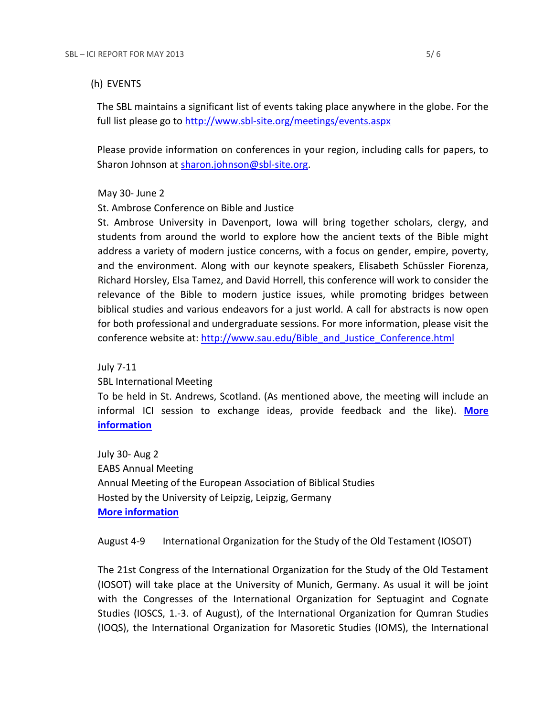### (h) EVENTS

The SBL maintains a significant list of events taking place anywhere in the globe. For the full list please go to<http://www.sbl-site.org/meetings/events.aspx>

Please provide information on conferences in your region, including calls for papers, to Sharon Johnson at [sharon.johnson@sbl-site.org.](mailto:sharon.johnson@sbl-site.org)

### May 30- June 2

St. Ambrose Conference on Bible and Justice

St. Ambrose University in Davenport, Iowa will bring together scholars, clergy, and students from around the world to explore how the ancient texts of the Bible might address a variety of modern justice concerns, with a focus on gender, empire, poverty, and the environment. Along with our keynote speakers, Elisabeth Schüssler Fiorenza, Richard Horsley, Elsa Tamez, and David Horrell, this conference will work to consider the relevance of the Bible to modern justice issues, while promoting bridges between biblical studies and various endeavors for a just world. A call for abstracts is now open for both professional and undergraduate sessions. For more information, please visit the conference website at: [http://www.sau.edu/Bible\\_and\\_Justice\\_Conference.html](http://www.sau.edu/Bible_and_Justice_Conference.html)

#### July 7-11

#### SBL International Meeting

To be held in St. Andrews, Scotland. (As mentioned above, the meeting will include an informal ICI session to exchange ideas, provide feedback and the like). **[More](http://www.sbl-site.org/meetings/Internationalmeeting.aspx)  [information](http://www.sbl-site.org/meetings/Internationalmeeting.aspx)**

July 30- Aug 2 EABS Annual Meeting Annual Meeting of the European Association of Biblical Studies Hosted by the University of Leipzig, Leipzig, Germany **[More information](http://www.eabs.net/)**

August 4-9 International Organization for the Study of the Old Testament (IOSOT)

The 21st Congress of the International Organization for the Study of the Old Testament (IOSOT) will take place at the University of Munich, Germany. As usual it will be joint with the Congresses of the International Organization for Septuagint and Cognate Studies (IOSCS, 1.-3. of August), of the International Organization for Qumran Studies (IOQS), the International Organization for Masoretic Studies (IOMS), the International